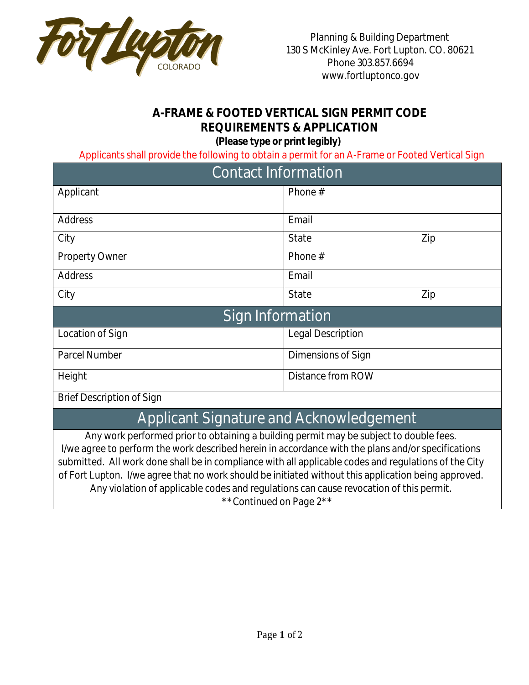

## **A-FRAME & FOOTED VERTICAL SIGN PERMIT CODE REQUIREMENTS & APPLICATION**

**(Please type or print legibly)**

Applicants shall provide the following to obtain a permit for an A-Frame or Footed Vertical Sign

| <b>Contact Information</b>       |                          |     |
|----------------------------------|--------------------------|-----|
| Applicant                        | Phone $#$                |     |
| Address                          | Email                    |     |
| City                             | <b>State</b>             | Zip |
| <b>Property Owner</b>            | Phone $#$                |     |
| Address                          | Email                    |     |
| City                             | <b>State</b>             | Zip |
| Sign Information                 |                          |     |
| Location of Sign                 | <b>Legal Description</b> |     |
| Parcel Number                    | Dimensions of Sign       |     |
| Height                           | Distance from ROW        |     |
| <b>Brief Description of Sign</b> |                          |     |

## Applicant Signature and Acknowledgement

Any work performed prior to obtaining a building permit may be subject to double fees. I/we agree to perform the work described herein in accordance with the plans and/or specifications submitted. All work done shall be in compliance with all applicable codes and regulations of the City of Fort Lupton. I/we agree that no work should be initiated without this application being approved. Any violation of applicable codes and regulations can cause revocation of this permit. \*\*Continued on Page 2\*\*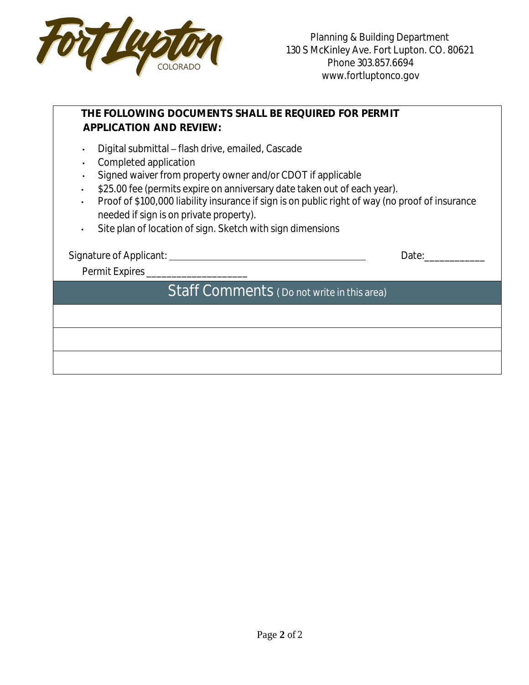

## **THE FOLLOWING DOCUMENTS SHALL BE REQUIRED FOR PERMIT APPLICATION AND REVIEW:**  • Digital submittal – flash drive, emailed, Cascade • Completed application • Signed waiver from property owner and/or CDOT if applicable • \$25.00 fee (permits expire on anniversary date taken out of each year). • Proof of \$100,000 liability insurance if sign is on public right of way (no proof of insurance needed if sign is on private property). • Site plan of location of sign. Sketch with sign dimensions Signature of Applicant: Date:\_\_\_\_\_\_\_\_\_\_\_\_ Permit Expires \_\_\_\_\_\_\_\_\_\_\_\_\_\_\_\_\_\_\_\_\_\_\_\_ Staff Comments ( Do not write in this area)